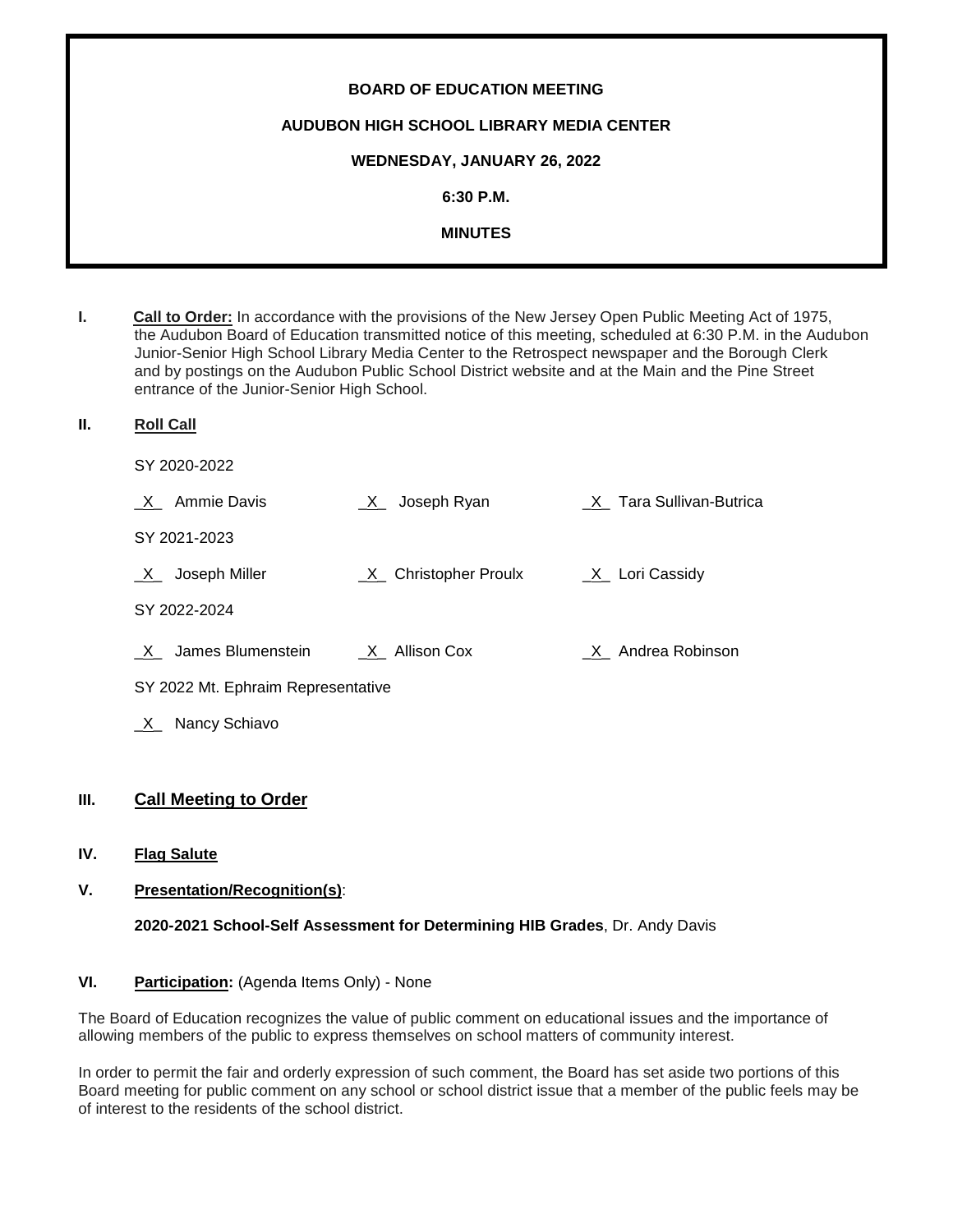| <b>BOARD OF EDUCATION MEETING</b>        |
|------------------------------------------|
| AUDUBON HIGH SCHOOL LIBRARY MEDIA CENTER |
| WEDNESDAY, JANUARY 26, 2022              |
| $6:30$ P.M.                              |
| <b>MINUTES</b>                           |
|                                          |

- **I. Call to Order:** In accordance with the provisions of the New Jersey Open Public Meeting Act of 1975, the Audubon Board of Education transmitted notice of this meeting, scheduled at 6:30 P.M. in the Audubon Junior-Senior High School Library Media Center to the Retrospect newspaper and the Borough Clerk and by postings on the Audubon Public School District website and at the Main and the Pine Street entrance of the Junior-Senior High School.
- **II. Roll Call**
	- SY 2020-2022

| X Ammie Davis                      | $X_$ Joseph Ryan       | X Tara Sullivan-Butrica |
|------------------------------------|------------------------|-------------------------|
| SY 2021-2023                       |                        |                         |
| Joseph Miller<br>X                 | _X_ Christopher Proulx | $X$ Lori Cassidy        |
| SY 2022-2024                       |                        |                         |
| James Blumenstein<br>X             | $X_$ Allison Cox       | X Andrea Robinson       |
| SY 2022 Mt. Ephraim Representative |                        |                         |
| Nancy Schiavo<br>X                 |                        |                         |

# **III. Call Meeting to Order**

**IV. Flag Salute**

# **V. Presentation/Recognition(s)**:

**2020-2021 School-Self Assessment for Determining HIB Grades**, Dr. Andy Davis

#### **VI.** Participation: (Agenda Items Only) - None

The Board of Education recognizes the value of public comment on educational issues and the importance of allowing members of the public to express themselves on school matters of community interest.

In order to permit the fair and orderly expression of such comment, the Board has set aside two portions of this Board meeting for public comment on any school or school district issue that a member of the public feels may be of interest to the residents of the school district.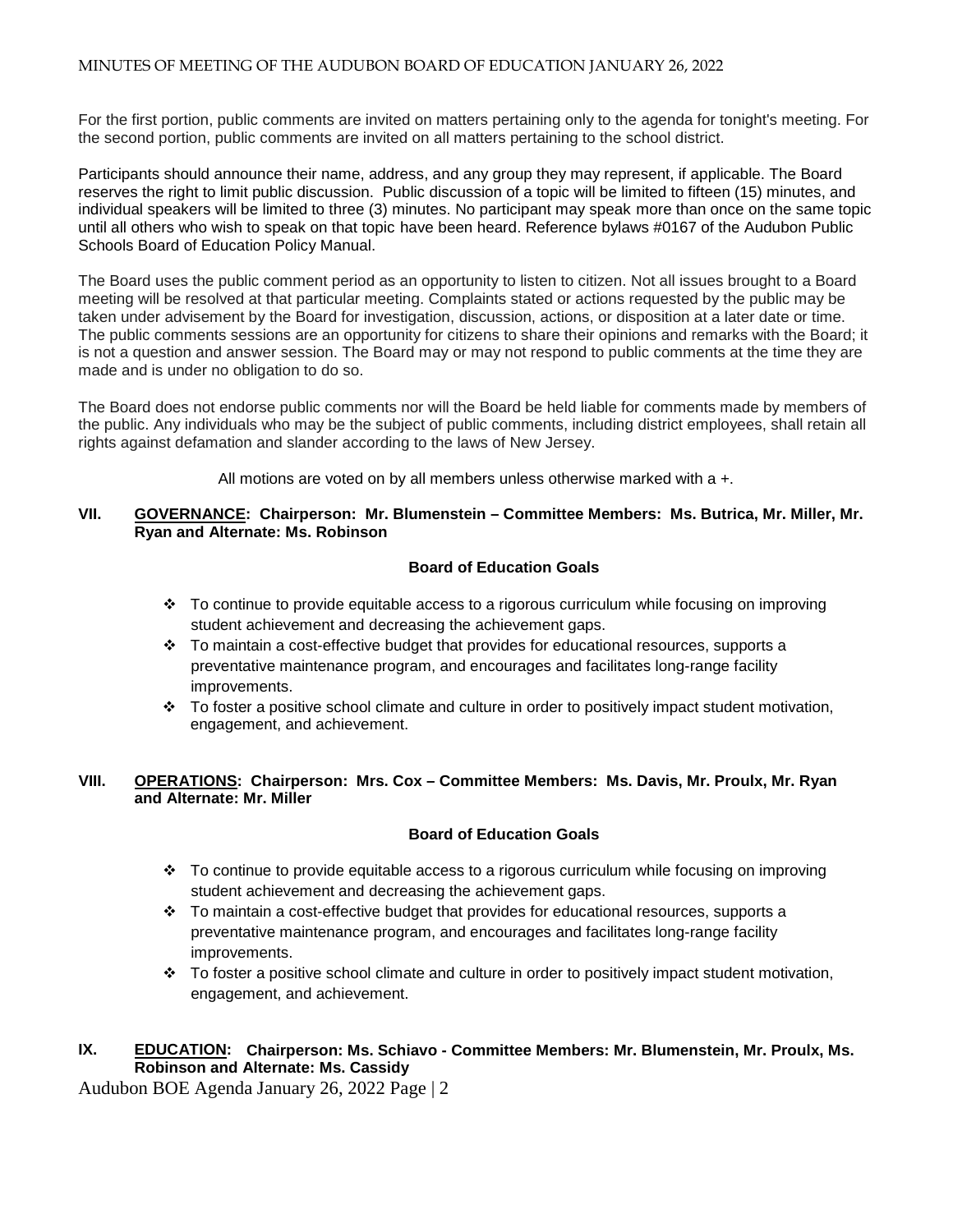For the first portion, public comments are invited on matters pertaining only to the agenda for tonight's meeting. For the second portion, public comments are invited on all matters pertaining to the school district.

Participants should announce their name, address, and any group they may represent, if applicable. The Board reserves the right to limit public discussion. Public discussion of a topic will be limited to fifteen (15) minutes, and individual speakers will be limited to three (3) minutes. No participant may speak more than once on the same topic until all others who wish to speak on that topic have been heard. Reference bylaws #0167 of the Audubon Public Schools Board of Education Policy Manual.

The Board uses the public comment period as an opportunity to listen to citizen. Not all issues brought to a Board meeting will be resolved at that particular meeting. Complaints stated or actions requested by the public may be taken under advisement by the Board for investigation, discussion, actions, or disposition at a later date or time. The public comments sessions are an opportunity for citizens to share their opinions and remarks with the Board; it is not a question and answer session. The Board may or may not respond to public comments at the time they are made and is under no obligation to do so.

The Board does not endorse public comments nor will the Board be held liable for comments made by members of the public. Any individuals who may be the subject of public comments, including district employees, shall retain all rights against defamation and slander according to the laws of New Jersey.

All motions are voted on by all members unless otherwise marked with a +.

# **VII. GOVERNANCE: Chairperson: Mr. Blumenstein – Committee Members: Ms. Butrica, Mr. Miller, Mr. Ryan and Alternate: Ms. Robinson**

# **Board of Education Goals**

- $\cdot \cdot$  To continue to provide equitable access to a rigorous curriculum while focusing on improving student achievement and decreasing the achievement gaps.
- $\div$  To maintain a cost-effective budget that provides for educational resources, supports a preventative maintenance program, and encourages and facilitates long-range facility improvements.
- $\cdot \cdot$  To foster a positive school climate and culture in order to positively impact student motivation, engagement, and achievement.

### **VIII. OPERATIONS: Chairperson: Mrs. Cox – Committee Members: Ms. Davis, Mr. Proulx, Mr. Ryan and Alternate: Mr. Miller**

# **Board of Education Goals**

- To continue to provide equitable access to a rigorous curriculum while focusing on improving student achievement and decreasing the achievement gaps.
- $\div$  To maintain a cost-effective budget that provides for educational resources, supports a preventative maintenance program, and encourages and facilitates long-range facility improvements.
- $\div$  To foster a positive school climate and culture in order to positively impact student motivation, engagement, and achievement.

# **IX. EDUCATION: Chairperson: Ms. Schiavo - Committee Members: Mr. Blumenstein, Mr. Proulx, Ms. Robinson and Alternate: Ms. Cassidy**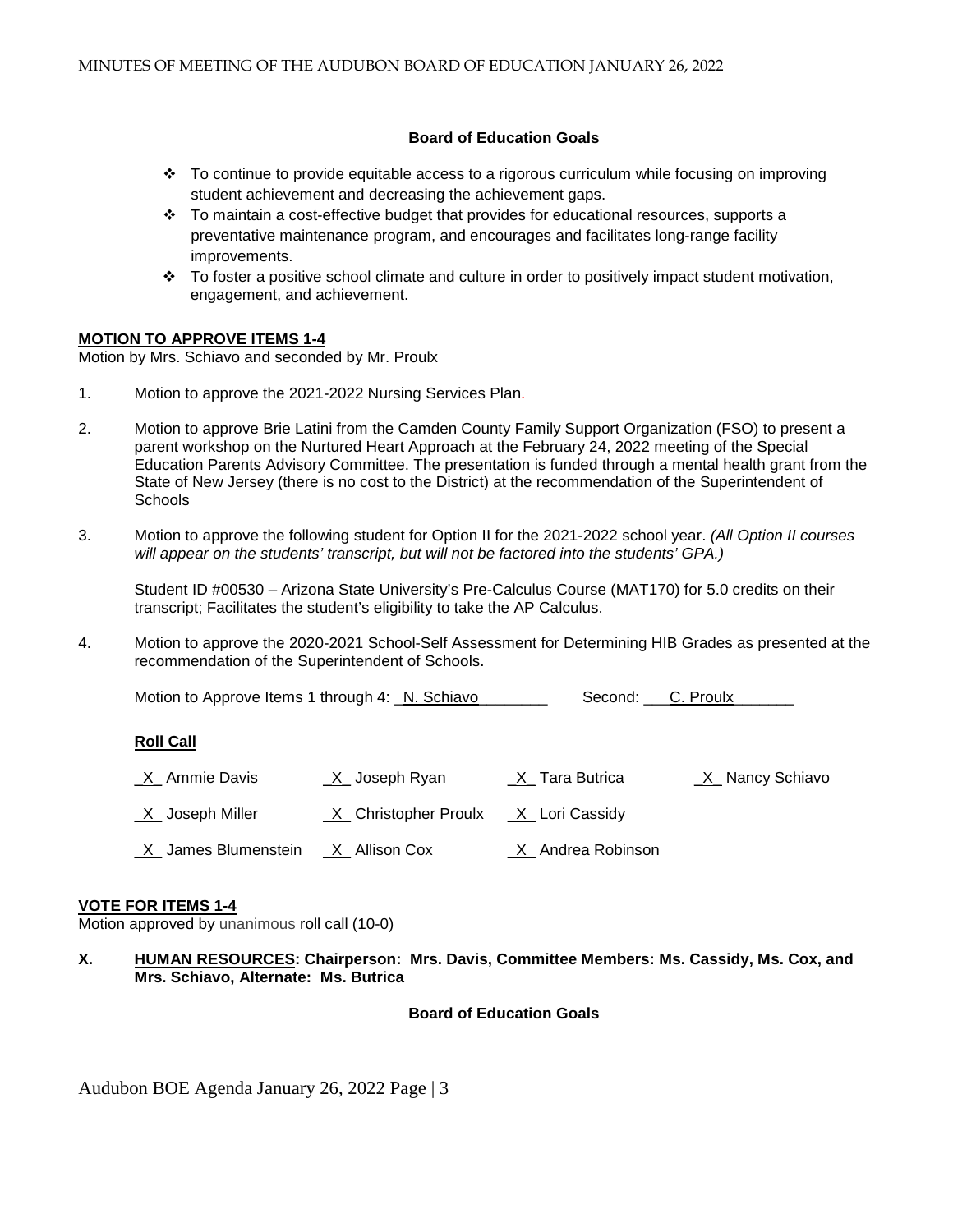### **Board of Education Goals**

- $\div$  To continue to provide equitable access to a rigorous curriculum while focusing on improving student achievement and decreasing the achievement gaps.
- $\div$  To maintain a cost-effective budget that provides for educational resources, supports a preventative maintenance program, and encourages and facilitates long-range facility improvements.
- $\cdot \cdot$  To foster a positive school climate and culture in order to positively impact student motivation, engagement, and achievement.

#### **MOTION TO APPROVE ITEMS 1-4**

Motion by Mrs. Schiavo and seconded by Mr. Proulx

- 1. Motion to approve the 2021-2022 Nursing Services Plan.
- 2. Motion to approve Brie Latini from the Camden County Family Support Organization (FSO) to present a parent workshop on the Nurtured Heart Approach at the February 24, 2022 meeting of the Special Education Parents Advisory Committee. The presentation is funded through a mental health grant from the State of New Jersey (there is no cost to the District) at the recommendation of the Superintendent of **Schools**
- 3. Motion to approve the following student for Option II for the 2021-2022 school year. *(All Option II courses will appear on the students' transcript, but will not be factored into the students' GPA.)*

Student ID #00530 – Arizona State University's Pre-Calculus Course (MAT170) for 5.0 credits on their transcript; Facilitates the student's eligibility to take the AP Calculus.

4. Motion to approve the 2020-2021 School-Self Assessment for Determining HIB Grades as presented at the recommendation of the Superintendent of Schools.

Motion to Approve Items 1 through 4: N. Schiavo Second: C. Proulx

#### **Roll Call**

| <u>X</u> Ammie Davis                  | _X_ Joseph Ryan        | <u>X</u> _Tara Butrica | <u>X</u> _ Nancy Schiavo |
|---------------------------------------|------------------------|------------------------|--------------------------|
| X Joseph Miller                       | _X_ Christopher Proulx | _X_ Lori Cassidy       |                          |
| $X$ James Blumenstein $X$ Allison Cox |                        | _X_ Andrea Robinson    |                          |

#### **VOTE FOR ITEMS 1-4**

Motion approved by unanimous roll call (10-0)

**X. HUMAN RESOURCES: Chairperson: Mrs. Davis, Committee Members: Ms. Cassidy, Ms. Cox, and Mrs. Schiavo, Alternate: Ms. Butrica**

**Board of Education Goals**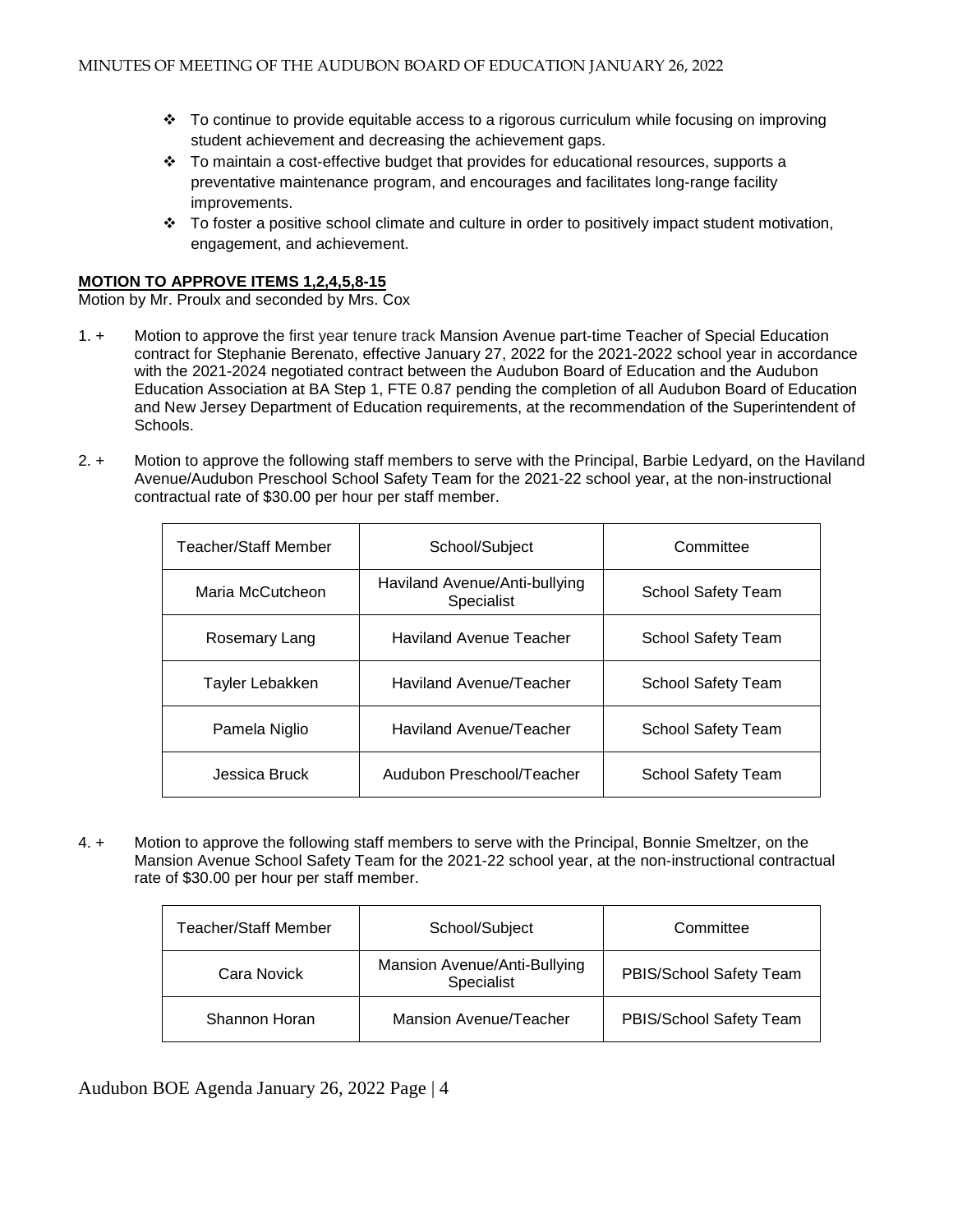- To continue to provide equitable access to a rigorous curriculum while focusing on improving student achievement and decreasing the achievement gaps.
- $\div$  To maintain a cost-effective budget that provides for educational resources, supports a preventative maintenance program, and encourages and facilitates long-range facility improvements.
- To foster a positive school climate and culture in order to positively impact student motivation, engagement, and achievement.

### **MOTION TO APPROVE ITEMS 1,2,4,5,8-15**

Motion by Mr. Proulx and seconded by Mrs. Cox

- 1. + Motion to approve the first year tenure track Mansion Avenue part-time Teacher of Special Education contract for Stephanie Berenato, effective January 27, 2022 for the 2021-2022 school year in accordance with the 2021-2024 negotiated contract between the Audubon Board of Education and the Audubon Education Association at BA Step 1, FTE 0.87 pending the completion of all Audubon Board of Education and New Jersey Department of Education requirements, at the recommendation of the Superintendent of Schools.
- 2. + Motion to approve the following staff members to serve with the Principal, Barbie Ledyard, on the Haviland Avenue/Audubon Preschool School Safety Team for the 2021-22 school year, at the non-instructional contractual rate of \$30.00 per hour per staff member.

| Teacher/Staff Member | School/Subject                              | Committee                 |
|----------------------|---------------------------------------------|---------------------------|
| Maria McCutcheon     | Haviland Avenue/Anti-bullying<br>Specialist | School Safety Team        |
| Rosemary Lang        | <b>Haviland Avenue Teacher</b>              | <b>School Safety Team</b> |
| Tayler Lebakken      | Haviland Avenue/Teacher                     | School Safety Team        |
| Pamela Niglio        | Haviland Avenue/Teacher                     | <b>School Safety Team</b> |
| Jessica Bruck        | Audubon Preschool/Teacher                   | School Safety Team        |

4. + Motion to approve the following staff members to serve with the Principal, Bonnie Smeltzer, on the Mansion Avenue School Safety Team for the 2021-22 school year, at the non-instructional contractual rate of \$30.00 per hour per staff member.

| Teacher/Staff Member | School/Subject                             | Committee               |
|----------------------|--------------------------------------------|-------------------------|
| Cara Novick          | Mansion Avenue/Anti-Bullying<br>Specialist | PBIS/School Safety Team |
| Shannon Horan        | Mansion Avenue/Teacher                     | PBIS/School Safety Team |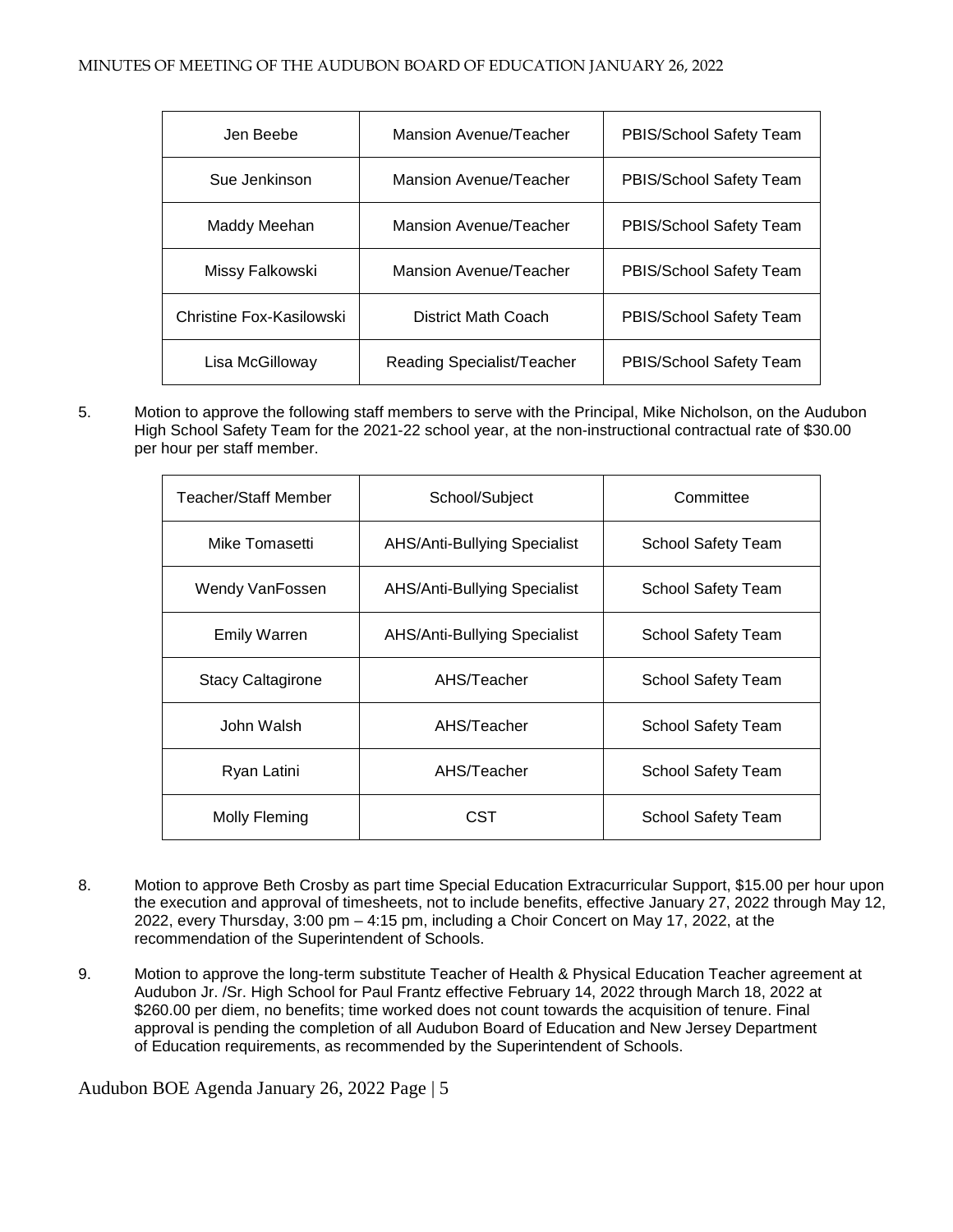| Jen Beebe                | Mansion Avenue/Teacher     | PBIS/School Safety Team |
|--------------------------|----------------------------|-------------------------|
| Sue Jenkinson            | Mansion Avenue/Teacher     | PBIS/School Safety Team |
| Maddy Meehan             | Mansion Avenue/Teacher     | PBIS/School Safety Team |
| Missy Falkowski          | Mansion Avenue/Teacher     | PBIS/School Safety Team |
| Christine Fox-Kasilowski | District Math Coach        | PBIS/School Safety Team |
| Lisa McGilloway          | Reading Specialist/Teacher | PBIS/School Safety Team |

5. Motion to approve the following staff members to serve with the Principal, Mike Nicholson, on the Audubon High School Safety Team for the 2021-22 school year, at the non-instructional contractual rate of \$30.00 per hour per staff member.

| Teacher/Staff Member     | School/Subject                      | Committee                 |
|--------------------------|-------------------------------------|---------------------------|
| Mike Tomasetti           | <b>AHS/Anti-Bullying Specialist</b> | School Safety Team        |
| Wendy VanFossen          | <b>AHS/Anti-Bullying Specialist</b> | School Safety Team        |
| <b>Emily Warren</b>      | AHS/Anti-Bullying Specialist        | School Safety Team        |
| <b>Stacy Caltagirone</b> | AHS/Teacher                         | School Safety Team        |
| John Walsh               | AHS/Teacher                         | <b>School Safety Team</b> |
| Ryan Latini              | AHS/Teacher                         | School Safety Team        |
| Molly Fleming            | CST                                 | School Safety Team        |

- 8. Motion to approve Beth Crosby as part time Special Education Extracurricular Support, \$15.00 per hour upon the execution and approval of timesheets, not to include benefits, effective January 27, 2022 through May 12, 2022, every Thursday, 3:00 pm – 4:15 pm, including a Choir Concert on May 17, 2022, at the recommendation of the Superintendent of Schools.
- 9. Motion to approve the long-term substitute Teacher of Health & Physical Education Teacher agreement at Audubon Jr. /Sr. High School for Paul Frantz effective February 14, 2022 through March 18, 2022 at \$260.00 per diem, no benefits; time worked does not count towards the acquisition of tenure. Final approval is pending the completion of all Audubon Board of Education and New Jersey Department of Education requirements, as recommended by the Superintendent of Schools.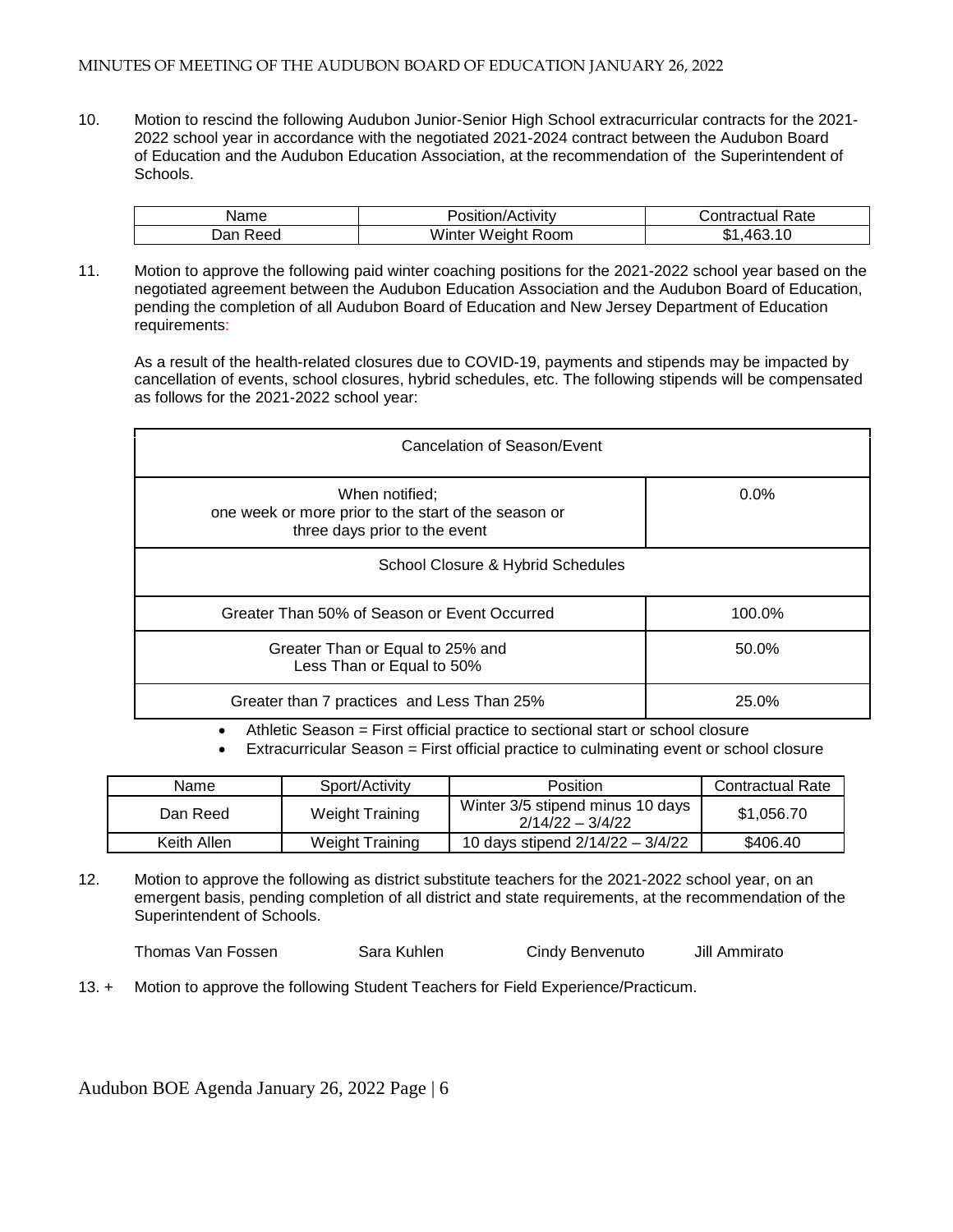#### MINUTES OF MEETING OF THE AUDUBON BOARD OF EDUCATION JANUARY 26, 2022

10. Motion to rescind the following Audubon Junior-Senior High School extracurricular contracts for the 2021- 2022 school year in accordance with the negotiated 2021-2024 contract between the Audubon Board of Education and the Audubon Education Association, at the recommendation of the Superintendent of Schools.

| lame        | osition/Activity              | Rate<br>∴on*<br>шасп<br>uа |
|-------------|-------------------------------|----------------------------|
| Dan<br>eec' | .<br>Room<br>Weight<br>Winter | ጡ ^<br>4F'<br>D.<br>v      |

11. Motion to approve the following paid winter coaching positions for the 2021-2022 school year based on the negotiated agreement between the Audubon Education Association and the Audubon Board of Education, pending the completion of all Audubon Board of Education and New Jersey Department of Education requirements:

As a result of the health-related closures due to COVID-19, payments and stipends may be impacted by cancellation of events, school closures, hybrid schedules, etc. The following stipends will be compensated as follows for the 2021-2022 school year:

| Cancelation of Season/Event                                                                             |         |  |  |
|---------------------------------------------------------------------------------------------------------|---------|--|--|
| When notified:<br>one week or more prior to the start of the season or<br>three days prior to the event | $0.0\%$ |  |  |
| School Closure & Hybrid Schedules                                                                       |         |  |  |
| Greater Than 50% of Season or Event Occurred                                                            | 100.0%  |  |  |
| Greater Than or Equal to 25% and<br>Less Than or Equal to 50%                                           | 50.0%   |  |  |
| Greater than 7 practices and Less Than 25%                                                              | 25.0%   |  |  |

• Athletic Season = First official practice to sectional start or school closure

• Extracurricular Season = First official practice to culminating event or school closure

| Name        | Sport/Activity         | <b>Position</b>                                        | <b>Contractual Rate</b> |
|-------------|------------------------|--------------------------------------------------------|-------------------------|
| Dan Reed    | <b>Weight Training</b> | Winter 3/5 stipend minus 10 days<br>$2/14/22 - 3/4/22$ | \$1,056.70              |
| Keith Allen | Weight Training        | 10 days stipend 2/14/22 - 3/4/22                       | \$406.40                |

12. Motion to approve the following as district substitute teachers for the 2021-2022 school year, on an emergent basis, pending completion of all district and state requirements, at the recommendation of the Superintendent of Schools.

Thomas Van Fossen Sara Kuhlen Cindy Benvenuto Jill Ammirato

13. + Motion to approve the following Student Teachers for Field Experience/Practicum.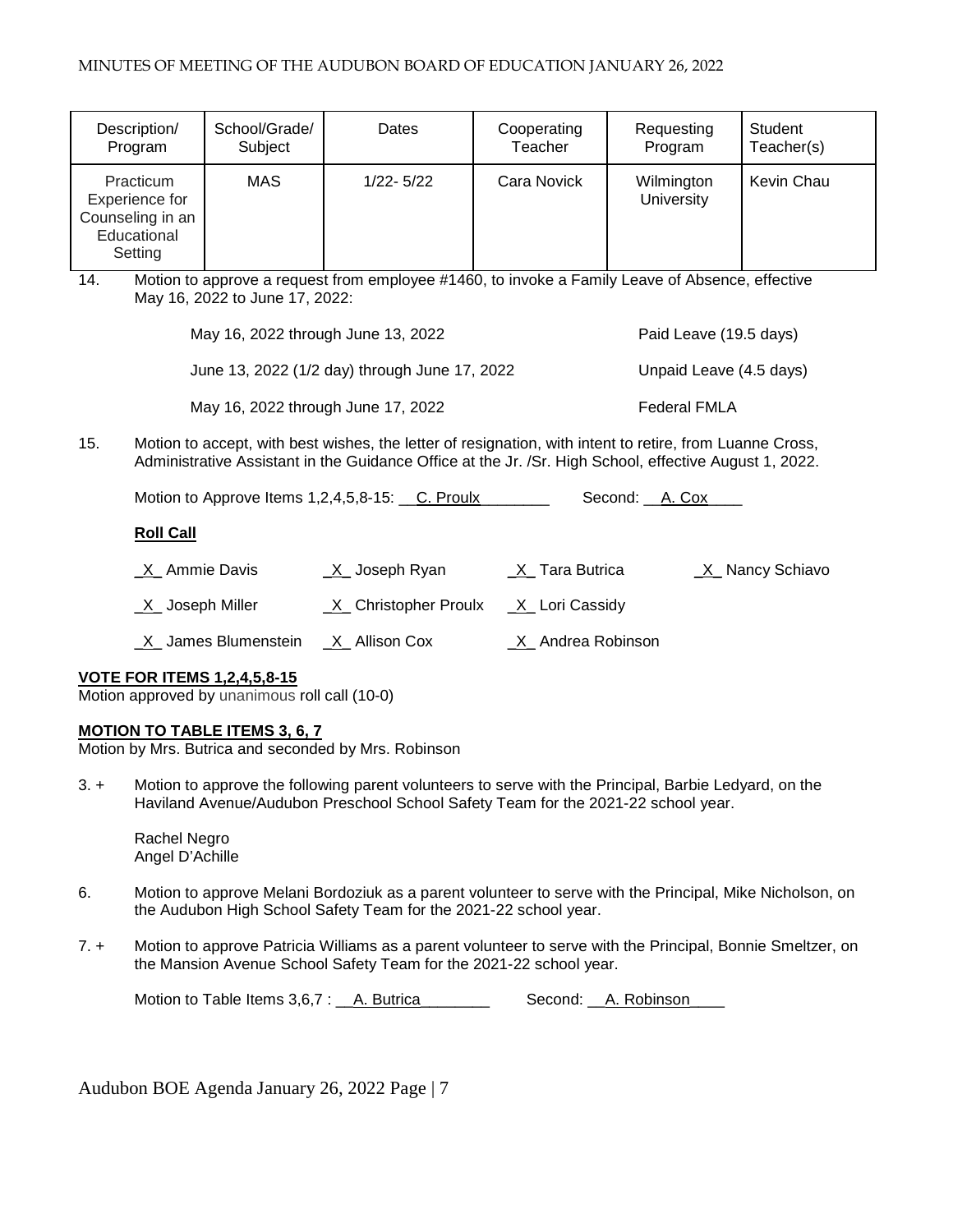| Description/                                                              | School/Grade/ | Dates         | Cooperating | Requesting               | Student    |
|---------------------------------------------------------------------------|---------------|---------------|-------------|--------------------------|------------|
| Program                                                                   | Subject       |               | Teacher     | Program                  | Teacher(s) |
| Practicum<br>Experience for<br>Counseling in an<br>Educational<br>Setting | <b>MAS</b>    | $1/22 - 5/22$ | Cara Novick | Wilmington<br>University | Kevin Chau |

14. Motion to approve a request from employee #1460, to invoke a Family Leave of Absence, effective May 16, 2022 to June 17, 2022:

| May 16, 2022 through June 13, 2022            | Paid Leave (19.5 days)  |
|-----------------------------------------------|-------------------------|
| June 13, 2022 (1/2 day) through June 17, 2022 | Unpaid Leave (4.5 days) |
| May 16, 2022 through June 17, 2022            | <b>Federal FMLA</b>     |

15. Motion to accept, with best wishes, the letter of resignation, with intent to retire, from Luanne Cross, Administrative Assistant in the Guidance Office at the Jr. /Sr. High School, effective August 1, 2022.

Motion to Approve Items 1,2,4,5,8-15: C. Proulx Second: A. Cox

### **Roll Call**

 $X$  Ammie Davis  $X$  Joseph Ryan  $X$  Tara Butrica  $X$  Nancy Schiavo \_X\_ Joseph Miller \_X\_ Christopher Proulx \_X\_ Lori Cassidy X\_ James Blumenstein X\_ Allison Cox \_\_\_\_\_\_\_\_\_ Andrea Robinson

# **VOTE FOR ITEMS 1,2,4,5,8-15**

Motion approved by unanimous roll call (10-0)

# **MOTION TO TABLE ITEMS 3, 6, 7**

Motion by Mrs. Butrica and seconded by Mrs. Robinson

3. + Motion to approve the following parent volunteers to serve with the Principal, Barbie Ledyard, on the Haviland Avenue/Audubon Preschool School Safety Team for the 2021-22 school year.

Rachel Negro Angel D'Achille

- 6. Motion to approve Melani Bordoziuk as a parent volunteer to serve with the Principal, Mike Nicholson, on the Audubon High School Safety Team for the 2021-22 school year.
- 7. + Motion to approve Patricia Williams as a parent volunteer to serve with the Principal, Bonnie Smeltzer, on the Mansion Avenue School Safety Team for the 2021-22 school year.

Motion to Table Items 3,6,7 : \_\_A. Butrica \_\_\_\_\_\_\_ Second: \_\_A. Robinson\_\_\_\_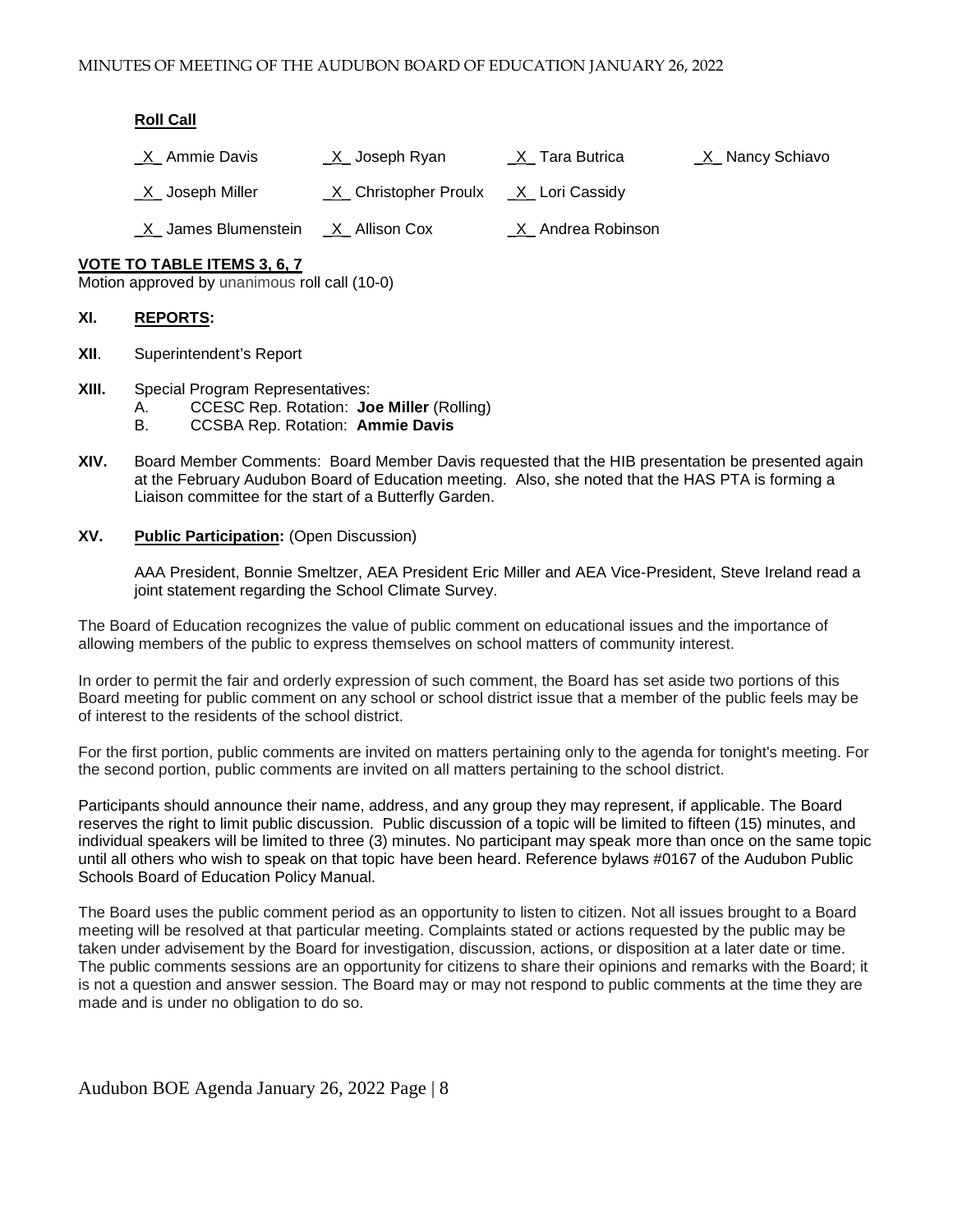#### **Roll Call**

| X Ammie Davis | <u>X_</u> Joseph Ryan | X Tara Butrica | X Nancy Schiavo |
|---------------|-----------------------|----------------|-----------------|
|---------------|-----------------------|----------------|-----------------|

\_X\_ Joseph Miller \_X\_ Christopher Proulx \_X\_ Lori Cassidy

\_X\_ James Blumenstein \_X\_ Allison Cox \_X\_ Andrea Robinson

### **VOTE TO TABLE ITEMS 3, 6, 7**

Motion approved by unanimous roll call (10-0)

### **XI. REPORTS:**

- **XII**. Superintendent's Report
- **XIII.** Special Program Representatives:
	- A. CCESC Rep. Rotation: **Joe Miller** (Rolling)
	- B. CCSBA Rep. Rotation: **Ammie Davis**
- **XIV.** Board Member Comments: Board Member Davis requested that the HIB presentation be presented again at the February Audubon Board of Education meeting. Also, she noted that the HAS PTA is forming a Liaison committee for the start of a Butterfly Garden.

### **XV. Public Participation:** (Open Discussion)

AAA President, Bonnie Smeltzer, AEA President Eric Miller and AEA Vice-President, Steve Ireland read a joint statement regarding the School Climate Survey.

The Board of Education recognizes the value of public comment on educational issues and the importance of allowing members of the public to express themselves on school matters of community interest.

In order to permit the fair and orderly expression of such comment, the Board has set aside two portions of this Board meeting for public comment on any school or school district issue that a member of the public feels may be of interest to the residents of the school district.

For the first portion, public comments are invited on matters pertaining only to the agenda for tonight's meeting. For the second portion, public comments are invited on all matters pertaining to the school district.

Participants should announce their name, address, and any group they may represent, if applicable. The Board reserves the right to limit public discussion. Public discussion of a topic will be limited to fifteen (15) minutes, and individual speakers will be limited to three (3) minutes. No participant may speak more than once on the same topic until all others who wish to speak on that topic have been heard. Reference bylaws #0167 of the Audubon Public Schools Board of Education Policy Manual.

The Board uses the public comment period as an opportunity to listen to citizen. Not all issues brought to a Board meeting will be resolved at that particular meeting. Complaints stated or actions requested by the public may be taken under advisement by the Board for investigation, discussion, actions, or disposition at a later date or time. The public comments sessions are an opportunity for citizens to share their opinions and remarks with the Board; it is not a question and answer session. The Board may or may not respond to public comments at the time they are made and is under no obligation to do so.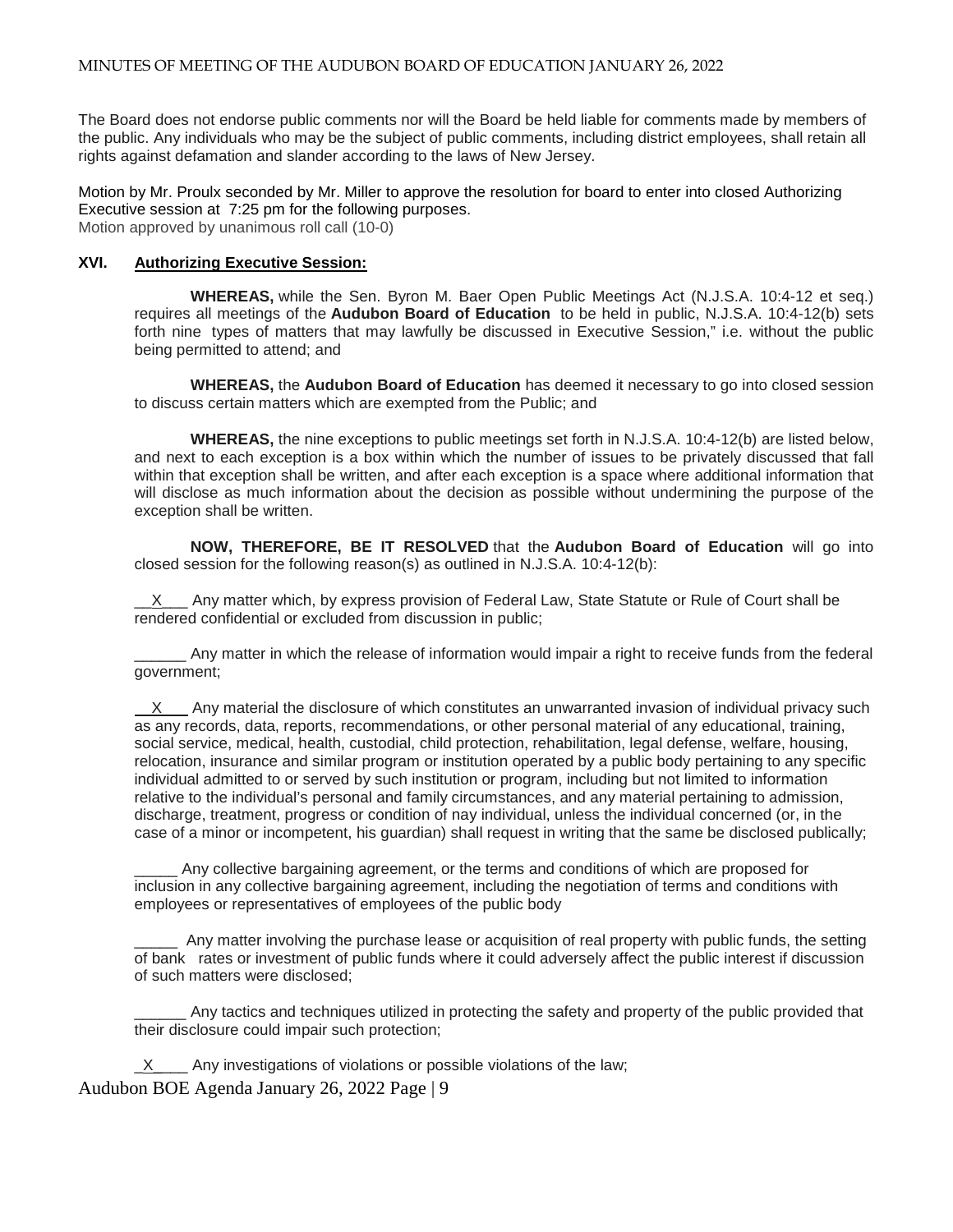The Board does not endorse public comments nor will the Board be held liable for comments made by members of the public. Any individuals who may be the subject of public comments, including district employees, shall retain all rights against defamation and slander according to the laws of New Jersey.

Motion by Mr. Proulx seconded by Mr. Miller to approve the resolution for board to enter into closed Authorizing Executive session at 7:25 pm for the following purposes. Motion approved by unanimous roll call (10-0)

### **XVI. Authorizing Executive Session:**

**WHEREAS,** while the Sen. Byron M. Baer Open Public Meetings Act (N.J.S.A. 10:4-12 et seq.) requires all meetings of the **Audubon Board of Education** to be held in public, N.J.S.A. 10:4-12(b) sets forth nine types of matters that may lawfully be discussed in Executive Session," i.e. without the public being permitted to attend; and

**WHEREAS,** the **Audubon Board of Education** has deemed it necessary to go into closed session to discuss certain matters which are exempted from the Public; and

**WHEREAS,** the nine exceptions to public meetings set forth in N.J.S.A. 10:4-12(b) are listed below, and next to each exception is a box within which the number of issues to be privately discussed that fall within that exception shall be written, and after each exception is a space where additional information that will disclose as much information about the decision as possible without undermining the purpose of the exception shall be written.

**NOW, THEREFORE, BE IT RESOLVED** that the **Audubon Board of Education** will go into closed session for the following reason(s) as outlined in N.J.S.A. 10:4-12(b):

 $X$  Any matter which, by express provision of Federal Law, State Statute or Rule of Court shall be rendered confidential or excluded from discussion in public;

\_\_\_\_\_\_ Any matter in which the release of information would impair a right to receive funds from the federal government;

X Any material the disclosure of which constitutes an unwarranted invasion of individual privacy such as any records, data, reports, recommendations, or other personal material of any educational, training, social service, medical, health, custodial, child protection, rehabilitation, legal defense, welfare, housing, relocation, insurance and similar program or institution operated by a public body pertaining to any specific individual admitted to or served by such institution or program, including but not limited to information relative to the individual's personal and family circumstances, and any material pertaining to admission, discharge, treatment, progress or condition of nay individual, unless the individual concerned (or, in the case of a minor or incompetent, his guardian) shall request in writing that the same be disclosed publically;

Any collective bargaining agreement, or the terms and conditions of which are proposed for inclusion in any collective bargaining agreement, including the negotiation of terms and conditions with employees or representatives of employees of the public body

Any matter involving the purchase lease or acquisition of real property with public funds, the setting of bank rates or investment of public funds where it could adversely affect the public interest if discussion of such matters were disclosed;

Any tactics and techniques utilized in protecting the safety and property of the public provided that their disclosure could impair such protection;

Audubon BOE Agenda January 26, 2022 Page | 9 X Any investigations of violations or possible violations of the law;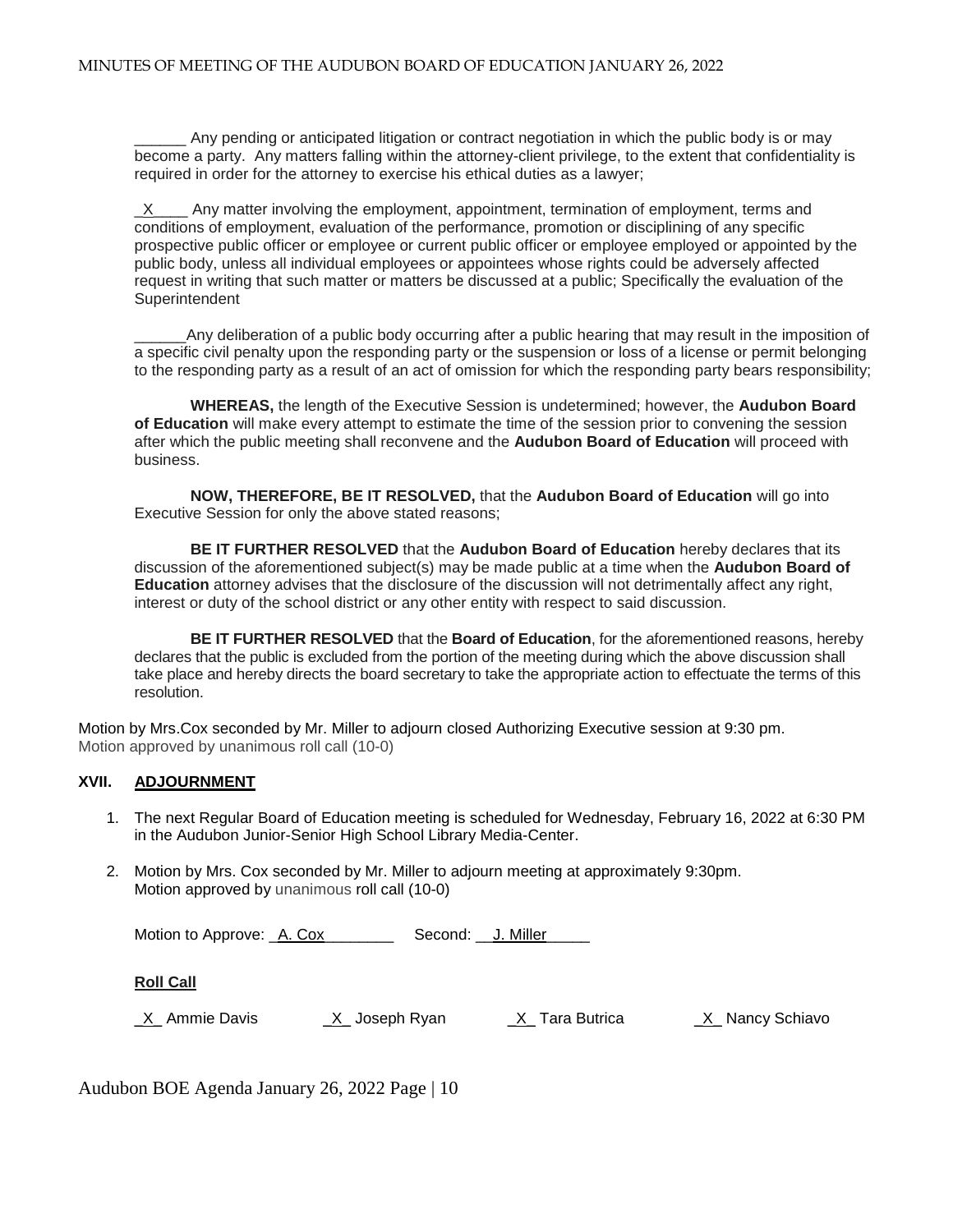Any pending or anticipated litigation or contract negotiation in which the public body is or may become a party. Any matters falling within the attorney-client privilege, to the extent that confidentiality is required in order for the attorney to exercise his ethical duties as a lawyer;

 $X$  Any matter involving the employment, appointment, termination of employment, terms and conditions of employment, evaluation of the performance, promotion or disciplining of any specific prospective public officer or employee or current public officer or employee employed or appointed by the public body, unless all individual employees or appointees whose rights could be adversely affected request in writing that such matter or matters be discussed at a public; Specifically the evaluation of the **Superintendent** 

Any deliberation of a public body occurring after a public hearing that may result in the imposition of a specific civil penalty upon the responding party or the suspension or loss of a license or permit belonging to the responding party as a result of an act of omission for which the responding party bears responsibility;

**WHEREAS,** the length of the Executive Session is undetermined; however, the **Audubon Board of Education** will make every attempt to estimate the time of the session prior to convening the session after which the public meeting shall reconvene and the **Audubon Board of Education** will proceed with business.

**NOW, THEREFORE, BE IT RESOLVED,** that the **Audubon Board of Education** will go into Executive Session for only the above stated reasons;

**BE IT FURTHER RESOLVED** that the **Audubon Board of Education** hereby declares that its discussion of the aforementioned subject(s) may be made public at a time when the **Audubon Board of Education** attorney advises that the disclosure of the discussion will not detrimentally affect any right, interest or duty of the school district or any other entity with respect to said discussion.

**BE IT FURTHER RESOLVED** that the **Board of Education**, for the aforementioned reasons, hereby declares that the public is excluded from the portion of the meeting during which the above discussion shall take place and hereby directs the board secretary to take the appropriate action to effectuate the terms of this resolution.

Motion by Mrs.Cox seconded by Mr. Miller to adjourn closed Authorizing Executive session at 9:30 pm. Motion approved by unanimous roll call (10-0)

# **XVII. ADJOURNMENT**

- 1. The next Regular Board of Education meeting is scheduled for Wednesday, February 16, 2022 at 6:30 PM in the Audubon Junior-Senior High School Library Media-Center.
- 2. Motion by Mrs. Cox seconded by Mr. Miller to adjourn meeting at approximately 9:30pm. Motion approved by unanimous roll call (10-0)

Motion to Approve: A. Cox Second: J. Miller

**Roll Call**

\_X\_ Ammie Davis \_X\_ Joseph Ryan \_X\_ Tara Butrica \_X\_ Nancy Schiavo